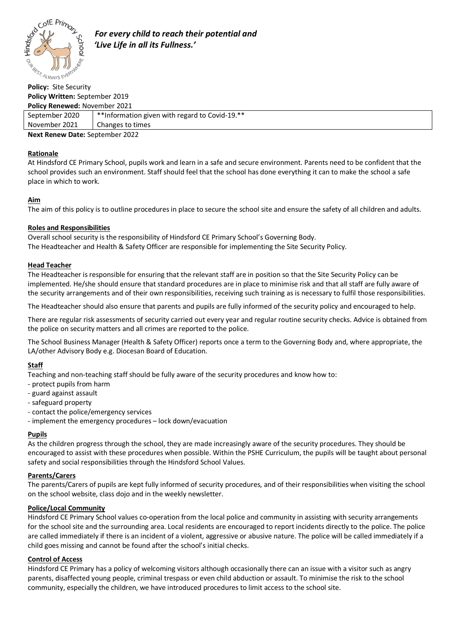

 *For every child to reach their potential and 'Live Life in all its Fullness.'*

# **Policy Written:** September 2019 **Policy Renewed:** November 2021

| <b>Policy Renewed: November 2021</b> |                                                |
|--------------------------------------|------------------------------------------------|
| September 2020                       | **Information given with regard to Covid-19.** |
| November 2021                        | Changes to times                               |
| Next Renew Date: Sentember 2022      |                                                |

**Next Renew Date:** September 2022

## **Rationale**

At Hindsford CE Primary School, pupils work and learn in a safe and secure environment. Parents need to be confident that the school provides such an environment. Staff should feel that the school has done everything it can to make the school a safe place in which to work.

## **Aim**

The aim of this policy is to outline procedures in place to secure the school site and ensure the safety of all children and adults.

## **Roles and Responsibilities**

Overall school security is the responsibility of Hindsford CE Primary School's Governing Body. The Headteacher and Health & Safety Officer are responsible for implementing the Site Security Policy.

## **Head Teacher**

The Headteacher is responsible for ensuring that the relevant staff are in position so that the Site Security Policy can be implemented. He/she should ensure that standard procedures are in place to minimise risk and that all staff are fully aware of the security arrangements and of their own responsibilities, receiving such training as is necessary to fulfil those responsibilities.

The Headteacher should also ensure that parents and pupils are fully informed of the security policy and encouraged to help.

There are regular risk assessments of security carried out every year and regular routine security checks. Advice is obtained from the police on security matters and all crimes are reported to the police.

The School Business Manager (Health & Safety Officer) reports once a term to the Governing Body and, where appropriate, the LA/other Advisory Body e.g. Diocesan Board of Education.

## **Staff**

Teaching and non-teaching staff should be fully aware of the security procedures and know how to:

- protect pupils from harm
- guard against assault
- safeguard property
- contact the police/emergency services
- implement the emergency procedures lock down/evacuation

## **Pupils**

As the children progress through the school, they are made increasingly aware of the security procedures. They should be encouraged to assist with these procedures when possible. Within the PSHE Curriculum, the pupils will be taught about personal safety and social responsibilities through the Hindsford School Values.

## **Parents/Carers**

The parents/Carers of pupils are kept fully informed of security procedures, and of their responsibilities when visiting the school on the school website, class dojo and in the weekly newsletter.

## **Police/Local Community**

Hindsford CE Primary School values co-operation from the local police and community in assisting with security arrangements for the school site and the surrounding area. Local residents are encouraged to report incidents directly to the police. The police are called immediately if there is an incident of a violent, aggressive or abusive nature. The police will be called immediately if a child goes missing and cannot be found after the school's initial checks.

## **Control of Access**

Hindsford CE Primary has a policy of welcoming visitors although occasionally there can an issue with a visitor such as angry parents, disaffected young people, criminal trespass or even child abduction or assault. To minimise the risk to the school community, especially the children, we have introduced procedures to limit access to the school site.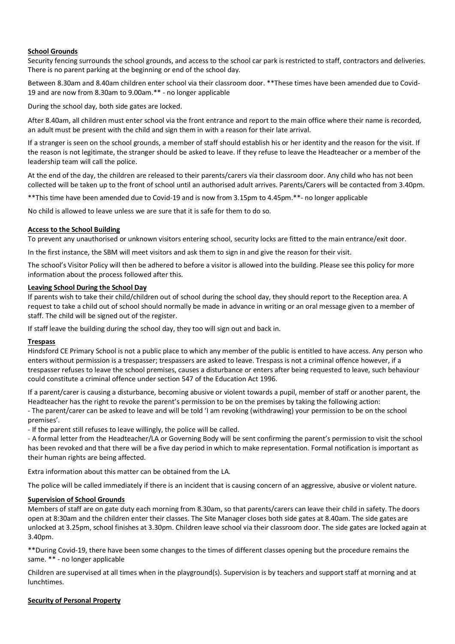#### **School Grounds**

Security fencing surrounds the school grounds, and access to the school car park is restricted to staff, contractors and deliveries. There is no parent parking at the beginning or end of the school day.

Between 8.30am and 8.40am children enter school via their classroom door. \*\*These times have been amended due to Covid-19 and are now from 8.30am to 9.00am.\*\* - no longer applicable

During the school day, both side gates are locked.

After 8.40am, all children must enter school via the front entrance and report to the main office where their name is recorded, an adult must be present with the child and sign them in with a reason for their late arrival.

If a stranger is seen on the school grounds, a member of staff should establish his or her identity and the reason for the visit. If the reason is not legitimate, the stranger should be asked to leave. If they refuse to leave the Headteacher or a member of the leadership team will call the police.

At the end of the day, the children are released to their parents/carers via their classroom door. Any child who has not been collected will be taken up to the front of school until an authorised adult arrives. Parents/Carers will be contacted from 3.40pm.

\*\*This time have been amended due to Covid-19 and is now from 3.15pm to 4.45pm.\*\*- no longer applicable

No child is allowed to leave unless we are sure that it is safe for them to do so.

#### **Access to the School Building**

To prevent any unauthorised or unknown visitors entering school, security locks are fitted to the main entrance/exit door.

In the first instance, the SBM will meet visitors and ask them to sign in and give the reason for their visit.

The school's Visitor Policy will then be adhered to before a visitor is allowed into the building. Please see this policy for more information about the process followed after this.

#### **Leaving School During the School Day**

If parents wish to take their child/children out of school during the school day, they should report to the Reception area. A request to take a child out of school should normally be made in advance in writing or an oral message given to a member of staff. The child will be signed out of the register.

If staff leave the building during the school day, they too will sign out and back in.

#### **Trespass**

Hindsford CE Primary School is not a public place to which any member of the public is entitled to have access. Any person who enters without permission is a trespasser; trespassers are asked to leave. Trespass is not a criminal offence however, if a trespasser refuses to leave the school premises, causes a disturbance or enters after being requested to leave, such behaviour could constitute a criminal offence under section 547 of the Education Act 1996.

If a parent/carer is causing a disturbance, becoming abusive or violent towards a pupil, member of staff or another parent, the Headteacher has the right to revoke the parent's permission to be on the premises by taking the following action: - The parent/carer can be asked to leave and will be told 'I am revoking (withdrawing) your permission to be on the school premises'.

- If the parent still refuses to leave willingly, the police will be called.

- A formal letter from the Headteacher/LA or Governing Body will be sent confirming the parent's permission to visit the school has been revoked and that there will be a five day period in which to make representation. Formal notification is important as their human rights are being affected.

Extra information about this matter can be obtained from the LA.

The police will be called immediately if there is an incident that is causing concern of an aggressive, abusive or violent nature.

#### **Supervision of School Grounds**

Members of staff are on gate duty each morning from 8.30am, so that parents/carers can leave their child in safety. The doors open at 8:30am and the children enter their classes. The Site Manager closes both side gates at 8.40am. The side gates are unlocked at 3.25pm, school finishes at 3.30pm. Children leave school via their classroom door. The side gates are locked again at 3.40pm.

\*\*During Covid-19, there have been some changes to the times of different classes opening but the procedure remains the same. \*\* - no longer applicable

Children are supervised at all times when in the playground(s). Supervision is by teachers and support staff at morning and at lunchtimes.

#### **Security of Personal Property**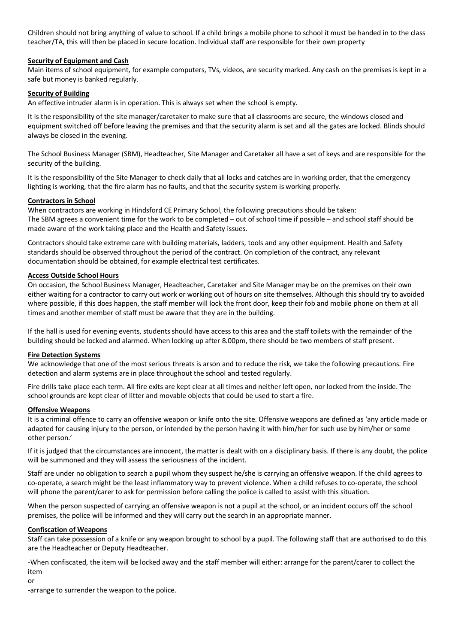Children should not bring anything of value to school. If a child brings a mobile phone to school it must be handed in to the class teacher/TA, this will then be placed in secure location. Individual staff are responsible for their own property

#### **Security of Equipment and Cash**

Main items of school equipment, for example computers, TVs, videos, are security marked. Any cash on the premises is kept in a safe but money is banked regularly.

## **Security of Building**

An effective intruder alarm is in operation. This is always set when the school is empty.

It is the responsibility of the site manager/caretaker to make sure that all classrooms are secure, the windows closed and equipment switched off before leaving the premises and that the security alarm is set and all the gates are locked. Blinds should always be closed in the evening.

The School Business Manager (SBM), Headteacher, Site Manager and Caretaker all have a set of keys and are responsible for the security of the building.

It is the responsibility of the Site Manager to check daily that all locks and catches are in working order, that the emergency lighting is working, that the fire alarm has no faults, and that the security system is working properly.

## **Contractors in School**

When contractors are working in Hindsford CE Primary School, the following precautions should be taken: The SBM agrees a convenient time for the work to be completed – out of school time if possible – and school staff should be made aware of the work taking place and the Health and Safety issues.

Contractors should take extreme care with building materials, ladders, tools and any other equipment. Health and Safety standards should be observed throughout the period of the contract. On completion of the contract, any relevant documentation should be obtained, for example electrical test certificates.

## **Access Outside School Hours**

On occasion, the School Business Manager, Headteacher, Caretaker and Site Manager may be on the premises on their own either waiting for a contractor to carry out work or working out of hours on site themselves. Although this should try to avoided where possible, if this does happen, the staff member will lock the front door, keep their fob and mobile phone on them at all times and another member of staff must be aware that they are in the building.

If the hall is used for evening events, students should have access to this area and the staff toilets with the remainder of the building should be locked and alarmed. When locking up after 8.00pm, there should be two members of staff present.

#### **Fire Detection Systems**

We acknowledge that one of the most serious threats is arson and to reduce the risk, we take the following precautions. Fire detection and alarm systems are in place throughout the school and tested regularly.

Fire drills take place each term. All fire exits are kept clear at all times and neither left open, nor locked from the inside. The school grounds are kept clear of litter and movable objects that could be used to start a fire.

#### **Offensive Weapons**

It is a criminal offence to carry an offensive weapon or knife onto the site. Offensive weapons are defined as 'any article made or adapted for causing injury to the person, or intended by the person having it with him/her for such use by him/her or some other person.'

If it is judged that the circumstances are innocent, the matter is dealt with on a disciplinary basis. If there is any doubt, the police will be summoned and they will assess the seriousness of the incident.

Staff are under no obligation to search a pupil whom they suspect he/she is carrying an offensive weapon. If the child agrees to co-operate, a search might be the least inflammatory way to prevent violence. When a child refuses to co-operate, the school will phone the parent/carer to ask for permission before calling the police is called to assist with this situation.

When the person suspected of carrying an offensive weapon is not a pupil at the school, or an incident occurs off the school premises, the police will be informed and they will carry out the search in an appropriate manner.

#### **Confiscation of Weapons**

Staff can take possession of a knife or any weapon brought to school by a pupil. The following staff that are authorised to do this are the Headteacher or Deputy Headteacher.

-When confiscated, the item will be locked away and the staff member will either: arrange for the parent/carer to collect the item

or

-arrange to surrender the weapon to the police.